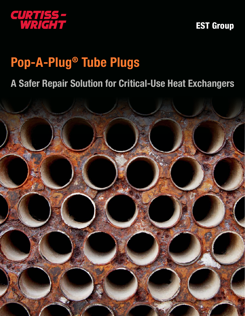

EST Group

# Pop-A-Plug® Tube Plugs

# A Safer Repair Solution for Critical-Use Heat Exchangers

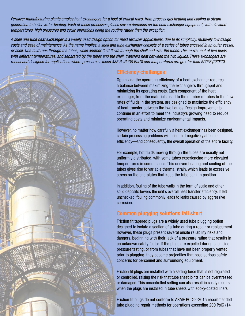*Fertilizer manufacturing plants employ heat exchangers for a host of critical roles, from process gas heating and cooling to steam generation to boiler water heating. Each of these processes places severe demands on the heat exchanger equipment, with elevated temperatures, high pressures and cyclic operations being the routine rather than the exception.* 

*A shell and tube heat exchanger is a widely used design option for most fertilizer applications, due to its simplicity, relatively low design costs and ease of maintenance. As the name implies, a shell and tube exchanger consists of a series of tubes encased in an outer vessel, or shell. One fluid runs through the tubes, while another fluid flows through the shell and over the tubes. This movement of two fluids with different temperatures, and separated by the tubes and the shell, transfers heat between the two liquids. These exchangers are robust and designed for applications where pressures exceed 435 PsiG (30 BarG) and temperatures are greater than 500°F (260°C).* 



### Efficiency challenges

Optimizing the operating efficiency of a heat exchanger requires a balance between maximizing the exchanger's throughput and minimizing its operating costs. Each component of the heat exchanger, from the materials used to the number of tubes to the flow rates of fluids in the system, are designed to maximize the efficiency of heat transfer between the two liquids. Design improvements continue in an effort to meet the industry's growing need to reduce operating costs and minimize environmental impacts.

However, no matter how carefully a heat exchanger has been designed, certain processing problems will arise that negatively affect its efficiency—and consequently, the overall operation of the entire facility.

For example, hot fluids moving through the tubes are usually not uniformly distributed, with some tubes experiencing more elevated temperatures in some places. This uneven heating and cooling of the tubes gives rise to variable thermal strain, which leads to excessive stress on the end plates that keep the tube bank in position.

In addition, fouling of the tube walls in the form of scale and other solid deposits lowers the unit's overall heat transfer efficiency. If left unchecked, fouling commonly leads to leaks caused by aggressive corrosion.

#### Common plugging solutions fall short

Friction fit tapered plugs are a widely used tube plugging option designed to isolate a section of a tube during a repair or replacement. However, these plugs present several onsite reliability risks and dangers, beginning with their lack of a pressure rating that results in an unknown safety factor. If the plugs are expelled during shell side pressure testing, or from tubes that have not been properly vented prior to plugging, they become projectiles that pose serious safety concerns for personnel and surrounding equipment.

Friction fit plugs are installed with a setting force that is not regulated or controlled, raising the risk that tube sheet joints can be overstressed or damaged. This uncontrolled setting can also result in costly repairs when the plugs are installed in tube sheets with epoxy-coated liners.

Friction fit plugs do not conform to ASME PCC-2-2015 recommended tube plugging repair methods for operations exceeding 200 PsiG (14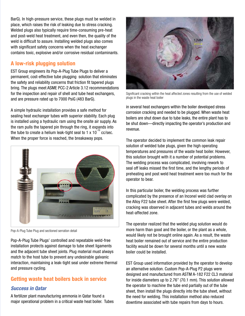BarG). In high-pressure service, these plugs must be welded in place, which raises the risk of leaking due to stress cracking. Welded plugs also typically require time-consuming pre-heat and post-weld heat treatment, and even then, the quality of the weld is difficult to assure. Installing welded plugs also comes with significant safety concerns when the heat exchanger contains toxic, explosive and/or corrosive residual contaminants.

## A low-risk plugging solution

EST Group engineers its Pop-A-Plug Tube Plugs to deliver a permanent, cost-effective tube plugging solution that eliminates the safety and reliability concerns that friction fit tapered plugs bring. The plugs meet ASME PCC-2 Article 3.12 recommendations for the inspection and repair of shell and tube heat exchangers, and are pressure rated up to 7000 PsiG (483 BarG).

A simple hydraulic installation provides a safe method for sealing heat exchanger tubes with superior stability. Each plug is installed using a hydraulic ram using the onsite air supply. As the ram pulls the tapered pin through the ring, it expands into the tube to create a helium leak-tight seal to 1  $\times$  10<sup>-10</sup> cc/sec. When the proper force is reached, the breakaway pops.



Pop-A-Plug Tube Plug and sectioned serration detail

Pop-A-Plug Tube Plugs' controlled and repeatable weld-free installation protects against damage to tube sheet ligaments and the adjacent tube sheet joints. Plug material must always match to the host tube to prevent any undesirable galvanic interaction, maintaining a leak-tight seal under extreme thermal and pressure cycling.

#### Getting waste heat boilers back in service

#### *Success in Qatar*

A fertilizer plant manufacturing ammonia in Qatar found a major operational problem in a critical waste heat boiler. Tubes



Significant cracking within the heat affected zones resulting from the use of welded plugs in the waste heat boiler

in several heat exchangers within the boiler developed stress corrosion cracking and needed to be plugged. When waste heat boilers are shut down due to tube leaks, the entire plant has to be shut down—directly impacting the operator's production and revenue.

The operator decided to implement the common leak repair solution of welded tube plugs, given the high operating temperatures and pressures of the waste heat boiler. However, this solution brought with it a number of potential problems. The welding process was complicated, involving rework to seal off leaks missed the first time, and the lengthy periods of preheating and post weld heat treatment were too much for the operator to bear.

In this particular boiler, the welding process was further complicated by the presence of an Inconel weld clad overlay on the Alloy F22 tube sheet. After the first few plugs were welded, cracking was observed in adjacent tubes and welds around the heat-affected zone.

The operator realized that the welded plug solution would do more harm than good and the boiler, or the plant as a whole, would likely not be brought online again. As a result, the waste heat boiler remained out of service and the entire production facility would be down for several months until a new waste boiler could be installed.

EST Group used information provided by the operator to develop an alternative solution. Custom Pop-A-Plug P2 plugs were designed and manufactured from ASTM A-182 F22 CL3 material for inside diameters up to 2.76" (70.1 mm). This solution allowed the operator to machine the tube end partially out of the tube sheet, then install the plugs directly into the tube sheet, without the need for welding. This installation method also reduced downtime associated with tube repairs from days to hours.